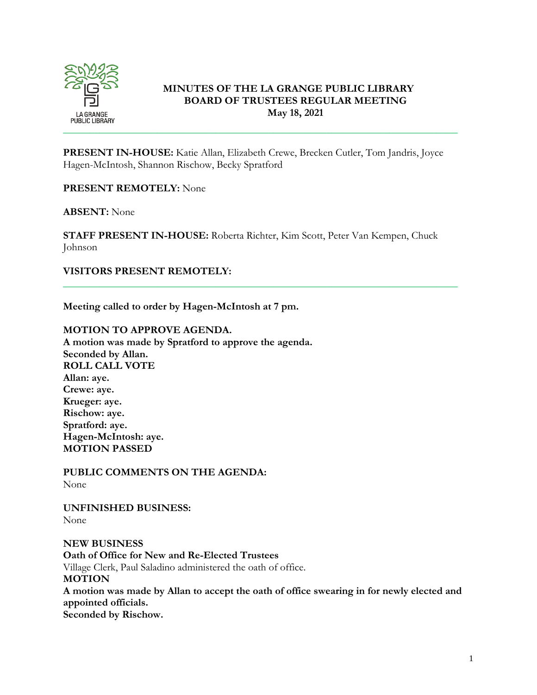

# **MINUTES OF THE LA GRANGE PUBLIC LIBRARY BOARD OF TRUSTEES REGULAR MEETING May 18, 2021**

**PRESENT IN-HOUSE:** Katie Allan, Elizabeth Crewe, Brecken Cutler, Tom Jandris, Joyce Hagen-McIntosh, Shannon Rischow, Becky Spratford

**PRESENT REMOTELY:** None

**ABSENT:** None

**STAFF PRESENT IN-HOUSE:** Roberta Richter, Kim Scott, Peter Van Kempen, Chuck Johnson

\_\_\_\_\_\_\_\_\_\_\_\_\_\_\_\_\_\_\_\_\_\_\_\_\_\_\_\_\_\_\_\_\_\_\_\_\_\_\_\_\_\_\_\_\_\_\_\_\_\_\_\_\_\_\_\_\_\_\_\_\_\_\_\_\_\_\_\_\_\_\_\_\_\_\_

## **VISITORS PRESENT REMOTELY:**

**Meeting called to order by Hagen-McIntosh at 7 pm.**

### **MOTION TO APPROVE AGENDA.**

**A motion was made by Spratford to approve the agenda. Seconded by Allan. ROLL CALL VOTE Allan: aye. Crewe: aye. Krueger: aye. Rischow: aye. Spratford: aye. Hagen-McIntosh: aye. MOTION PASSED**

**PUBLIC COMMENTS ON THE AGENDA:**  None

**UNFINISHED BUSINESS:** None

**NEW BUSINESS Oath of Office for New and Re-Elected Trustees** Village Clerk, Paul Saladino administered the oath of office. **MOTION A motion was made by Allan to accept the oath of office swearing in for newly elected and appointed officials. Seconded by Rischow.**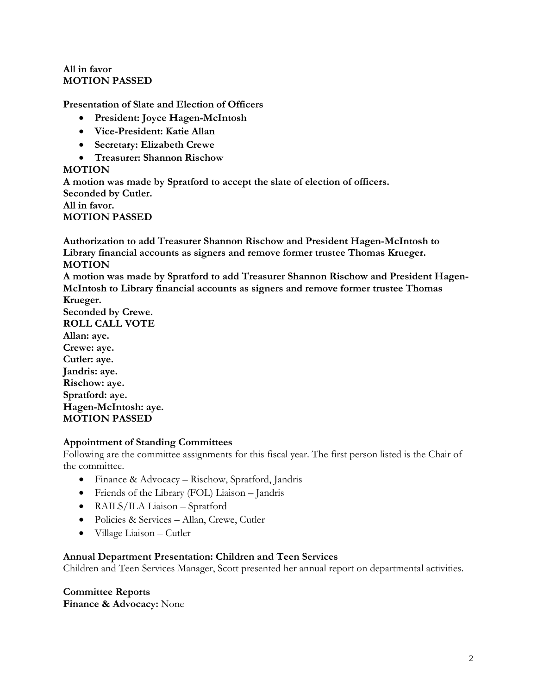### **All in favor MOTION PASSED**

**Presentation of Slate and Election of Officers**

- **President: Joyce Hagen-McIntosh**
- **Vice-President: Katie Allan**
- **Secretary: Elizabeth Crewe**
- **Treasurer: Shannon Rischow**

### **MOTION**

**A motion was made by Spratford to accept the slate of election of officers. Seconded by Cutler. All in favor. MOTION PASSED**

**Authorization to add Treasurer Shannon Rischow and President Hagen-McIntosh to Library financial accounts as signers and remove former trustee Thomas Krueger. MOTION**

**A motion was made by Spratford to add Treasurer Shannon Rischow and President Hagen-McIntosh to Library financial accounts as signers and remove former trustee Thomas Krueger.** 

**Seconded by Crewe. ROLL CALL VOTE Allan: aye. Crewe: aye. Cutler: aye. Jandris: aye. Rischow: aye. Spratford: aye. Hagen-McIntosh: aye. MOTION PASSED**

## **Appointment of Standing Committees**

Following are the committee assignments for this fiscal year. The first person listed is the Chair of the committee.

- Finance & Advocacy Rischow, Spratford, Jandris
- Friends of the Library (FOL) Liaison Jandris
- RAILS/ILA Liaison Spratford
- Policies & Services Allan, Crewe, Cutler
- Village Liaison Cutler

#### **Annual Department Presentation: Children and Teen Services**

Children and Teen Services Manager, Scott presented her annual report on departmental activities.

**Committee Reports Finance & Advocacy:** None